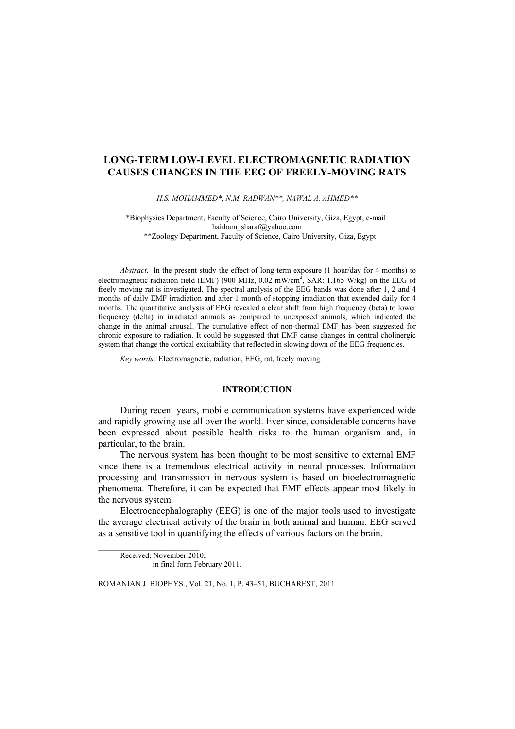# **LONG-TERM LOW-LEVEL ELECTROMAGNETIC RADIATION CAUSES CHANGES IN THE EEG OF FREELY-MOVING RATS**

*H.S. MOHAMMED\*, N.M. RADWAN\*\*, NAWAL A. AHMED\*\** 

\*Biophysics Department, Faculty of Science, Cairo University, Giza, Egypt, e-mail: haitham\_sharaf@yahoo.com \*\*Zoology Department, Faculty of Science, Cairo University, Giza, Egypt

*Abstract.* In the present study the effect of long-term exposure (1 hour/day for 4 months) to electromagnetic radiation field (EMF) (900 MHz, 0.02 mW/cm<sup>2</sup>, SAR: 1.165 W/kg) on the EEG of freely moving rat is investigated. The spectral analysis of the EEG bands was done after 1, 2 and 4 months of daily EMF irradiation and after 1 month of stopping irradiation that extended daily for 4 months. The quantitative analysis of EEG revealed a clear shift from high frequency (beta) to lower frequency (delta) in irradiated animals as compared to unexposed animals, which indicated the change in the animal arousal. The cumulative effect of non-thermal EMF has been suggested for chronic exposure to radiation. It could be suggested that EMF cause changes in central cholinergic system that change the cortical excitability that reflected in slowing down of the EEG frequencies.

*Key words*: Electromagnetic, radiation, EEG, rat, freely moving.

### **INTRODUCTION**

During recent years, mobile communication systems have experienced wide and rapidly growing use all over the world. Ever since, considerable concerns have been expressed about possible health risks to the human organism and, in particular, to the brain.

The nervous system has been thought to be most sensitive to external EMF since there is a tremendous electrical activity in neural processes. Information processing and transmission in nervous system is based on bioelectromagnetic phenomena. Therefore, it can be expected that EMF effects appear most likely in the nervous system.

Electroencephalography (EEG) is one of the major tools used to investigate the average electrical activity of the brain in both animal and human. EEG served as a sensitive tool in quantifying the effects of various factors on the brain.

Received: November 2010; in final form February 2011.

ROMANIAN J. BIOPHYS., Vol. 21, No. 1, P. 43–51, BUCHAREST, 2011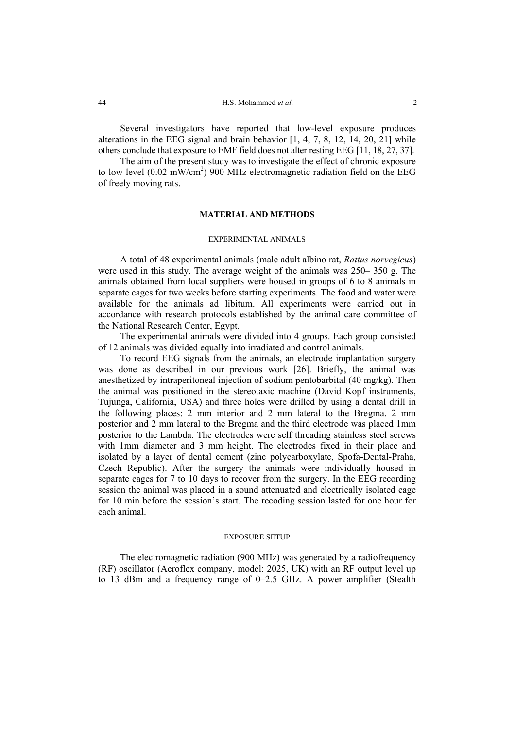Several investigators have reported that low-level exposure produces alterations in the EEG signal and brain behavior [1, 4, 7, 8, 12, 14, 20, 21] while others conclude that exposure to EMF field does not alter resting EEG [11, 18, 27, 37].

The aim of the present study was to investigate the effect of chronic exposure to low level (0.02 mW/cm<sup>2</sup>) 900 MHz electromagnetic radiation field on the EEG of freely moving rats.

### **MATERIAL AND METHODS**

### EXPERIMENTAL ANIMALS

A total of 48 experimental animals (male adult albino rat, *Rattus norvegicus*) were used in this study. The average weight of the animals was 250– 350 g. The animals obtained from local suppliers were housed in groups of 6 to 8 animals in separate cages for two weeks before starting experiments. The food and water were available for the animals ad libitum. All experiments were carried out in accordance with research protocols established by the animal care committee of the National Research Center, Egypt.

The experimental animals were divided into 4 groups. Each group consisted of 12 animals was divided equally into irradiated and control animals.

To record EEG signals from the animals, an electrode implantation surgery was done as described in our previous work [26]. Briefly, the animal was anesthetized by intraperitoneal injection of sodium pentobarbital (40 mg/kg). Then the animal was positioned in the stereotaxic machine (David Kopf instruments, Tujunga, California, USA) and three holes were drilled by using a dental drill in the following places: 2 mm interior and 2 mm lateral to the Bregma, 2 mm posterior and 2 mm lateral to the Bregma and the third electrode was placed 1mm posterior to the Lambda. The electrodes were self threading stainless steel screws with 1mm diameter and 3 mm height. The electrodes fixed in their place and isolated by a layer of dental cement (zinc polycarboxylate, Spofa-Dental-Praha, Czech Republic). After the surgery the animals were individually housed in separate cages for 7 to 10 days to recover from the surgery. In the EEG recording session the animal was placed in a sound attenuated and electrically isolated cage for 10 min before the session's start. The recoding session lasted for one hour for each animal.

#### EXPOSURE SETUP

The electromagnetic radiation (900 MHz) was generated by a radiofrequency (RF) oscillator (Aeroflex company, model: 2025, UK) with an RF output level up to 13 dBm and a frequency range of 0–2.5 GHz. A power amplifier (Stealth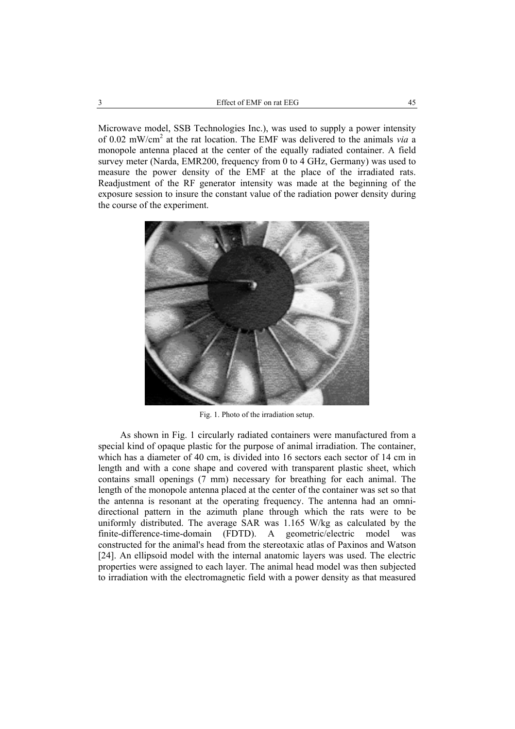Microwave model, SSB Technologies Inc.), was used to supply a power intensity of 0.02 mW/cm2 at the rat location. The EMF was delivered to the animals *via* a monopole antenna placed at the center of the equally radiated container. A field survey meter (Narda, EMR200, frequency from 0 to 4 GHz, Germany) was used to measure the power density of the EMF at the place of the irradiated rats. Readjustment of the RF generator intensity was made at the beginning of the exposure session to insure the constant value of the radiation power density during the course of the experiment.



Fig. 1. Photo of the irradiation setup.

As shown in Fig. 1 circularly radiated containers were manufactured from a special kind of opaque plastic for the purpose of animal irradiation. The container, which has a diameter of 40 cm, is divided into 16 sectors each sector of 14 cm in length and with a cone shape and covered with transparent plastic sheet, which contains small openings (7 mm) necessary for breathing for each animal. The length of the monopole antenna placed at the center of the container was set so that the antenna is resonant at the operating frequency. The antenna had an omnidirectional pattern in the azimuth plane through which the rats were to be uniformly distributed. The average SAR was 1.165 W/kg as calculated by the finite-difference-time-domain (FDTD). A geometric/electric model was constructed for the animal's head from the stereotaxic atlas of Paxinos and Watson [24]. An ellipsoid model with the internal anatomic layers was used. The electric properties were assigned to each layer. The animal head model was then subjected to irradiation with the electromagnetic field with a power density as that measured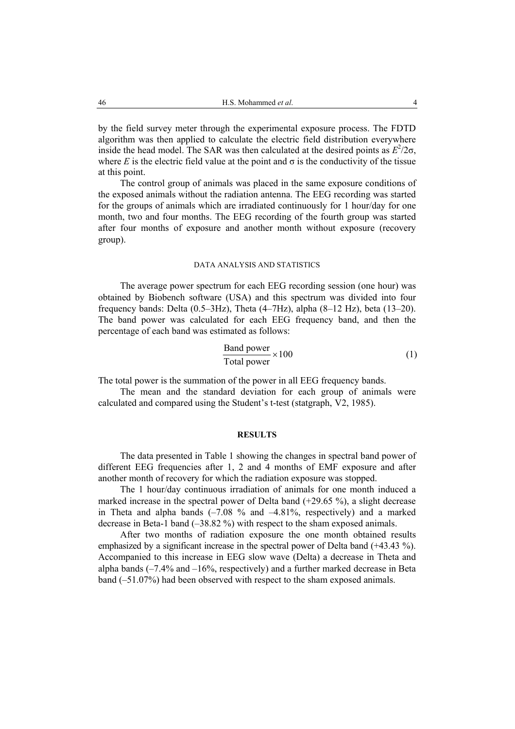by the field survey meter through the experimental exposure process. The FDTD algorithm was then applied to calculate the electric field distribution everywhere inside the head model. The SAR was then calculated at the desired points as  $E^2/2\sigma$ , where *E* is the electric field value at the point and  $\sigma$  is the conductivity of the tissue at this point.

The control group of animals was placed in the same exposure conditions of the exposed animals without the radiation antenna. The EEG recording was started for the groups of animals which are irradiated continuously for 1 hour/day for one month, two and four months. The EEG recording of the fourth group was started after four months of exposure and another month without exposure (recovery group).

#### DATA ANALYSIS AND STATISTICS

The average power spectrum for each EEG recording session (one hour) was obtained by Biobench software (USA) and this spectrum was divided into four frequency bands: Delta (0.5–3Hz), Theta (4–7Hz), alpha (8–12 Hz), beta (13–20). The band power was calculated for each EEG frequency band, and then the percentage of each band was estimated as follows:

$$
\frac{\text{Band power}}{\text{Total power}} \times 100\tag{1}
$$

The total power is the summation of the power in all EEG frequency bands.

The mean and the standard deviation for each group of animals were calculated and compared using the Student's t-test (statgraph, V2, 1985).

#### **RESULTS**

The data presented in Table 1 showing the changes in spectral band power of different EEG frequencies after 1, 2 and 4 months of EMF exposure and after another month of recovery for which the radiation exposure was stopped.

The 1 hour/day continuous irradiation of animals for one month induced a marked increase in the spectral power of Delta band (+29.65 %), a slight decrease in Theta and alpha bands  $(-7.08\%$  and  $-4.81\%$ , respectively) and a marked decrease in Beta-1 band (–38.82 %) with respect to the sham exposed animals.

After two months of radiation exposure the one month obtained results emphasized by a significant increase in the spectral power of Delta band (+43.43 %). Accompanied to this increase in EEG slow wave (Delta) a decrease in Theta and alpha bands  $(-7.4\%$  and  $-16\%$ , respectively) and a further marked decrease in Beta band (–51.07%) had been observed with respect to the sham exposed animals.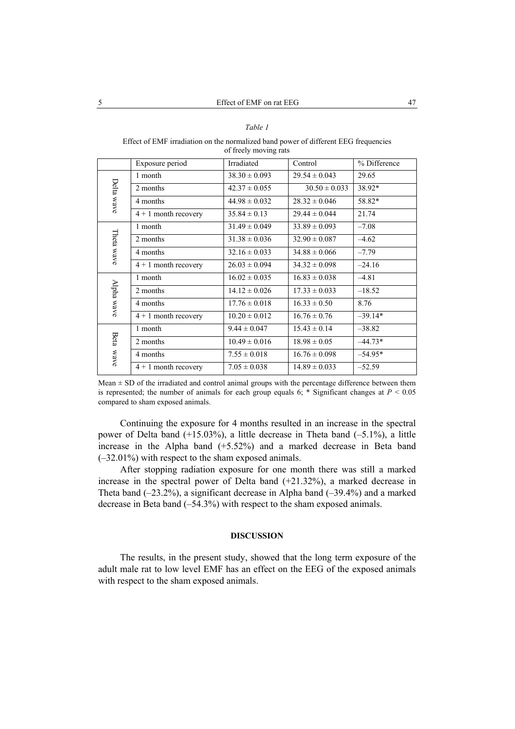### *Table 1*

#### Effect of EMF irradiation on the normalized band power of different EEG frequencies of freely moving rats

|              | Exposure period        | Irradiated        | Control           | % Difference |
|--------------|------------------------|-------------------|-------------------|--------------|
| Delta wave   | 1 month                | $38.30 \pm 0.093$ | $29.54 \pm 0.043$ | 29.65        |
|              | 2 months               | $42.37 \pm 0.055$ | $30.50 \pm 0.033$ | 38.92*       |
|              | 4 months               | $44.98 \pm 0.032$ | $28.32 \pm 0.046$ | 58.82*       |
|              | $4 + 1$ month recovery | $35.84 \pm 0.13$  | $29.44 \pm 0.044$ | 21.74        |
| Theta wave   | 1 month                | $31.49 \pm 0.049$ | $33.89 \pm 0.093$ | $-7.08$      |
|              | 2 months               | $31.38 \pm 0.036$ | $32.90 \pm 0.087$ | $-4.62$      |
|              | 4 months               | $32.16 \pm 0.033$ | $34.88 \pm 0.066$ | $-7.79$      |
|              | $4 + 1$ month recovery | $26.03 \pm 0.094$ | $34.32 \pm 0.098$ | $-24.16$     |
| Alpha wave   | 1 month                | $16.02 \pm 0.035$ | $16.83 \pm 0.038$ | $-4.81$      |
|              | 2 months               | $14.12 \pm 0.026$ | $17.33 \pm 0.033$ | $-18.52$     |
|              | 4 months               | $17.76 \pm 0.018$ | $16.33 \pm 0.50$  | 8.76         |
|              | $4 + 1$ month recovery | $10.20 \pm 0.012$ | $16.76 \pm 0.76$  | $-39.14*$    |
| Beta<br>Mave | 1 month                | $9.44 \pm 0.047$  | $15.43 \pm 0.14$  | $-38.82$     |
|              | 2 months               | $10.49 \pm 0.016$ | $18.98 \pm 0.05$  | $-44.73*$    |
|              | 4 months               | $7.55 \pm 0.018$  | $16.76 \pm 0.098$ | $-54.95*$    |
|              | $4 + 1$ month recovery | $7.05 \pm 0.038$  | $14.89 \pm 0.033$ | $-52.59$     |

 $Mean \pm SD$  of the irradiated and control animal groups with the percentage difference between them is represented; the number of animals for each group equals 6; \* Significant changes at *P* < 0.05 compared to sham exposed animals.

Continuing the exposure for 4 months resulted in an increase in the spectral power of Delta band (+15.03%), a little decrease in Theta band (–5.1%), a little increase in the Alpha band (+5.52%) and a marked decrease in Beta band (–32.01%) with respect to the sham exposed animals.

After stopping radiation exposure for one month there was still a marked increase in the spectral power of Delta band (+21.32%), a marked decrease in Theta band  $(-23.2\%)$ , a significant decrease in Alpha band  $(-39.4\%)$  and a marked decrease in Beta band (–54.3%) with respect to the sham exposed animals.

## **DISCUSSION**

The results, in the present study, showed that the long term exposure of the adult male rat to low level EMF has an effect on the EEG of the exposed animals with respect to the sham exposed animals.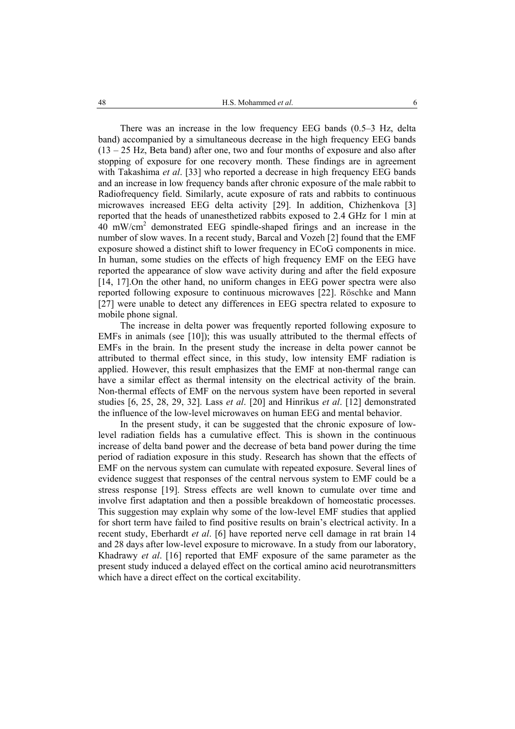There was an increase in the low frequency EEG bands (0.5–3 Hz, delta band) accompanied by a simultaneous decrease in the high frequency EEG bands  $(13 - 25$  Hz, Beta band) after one, two and four months of exposure and also after stopping of exposure for one recovery month. These findings are in agreement with Takashima *et al*. [33] who reported a decrease in high frequency EEG bands and an increase in low frequency bands after chronic exposure of the male rabbit to Radiofrequency field. Similarly, acute exposure of rats and rabbits to continuous microwaves increased EEG delta activity [29]. In addition, Chizhenkova [3] reported that the heads of unanesthetized rabbits exposed to 2.4 GHz for 1 min at 40 mW/cm2 demonstrated EEG spindle-shaped firings and an increase in the number of slow waves. In a recent study, Barcal and Vozeh [2] found that the EMF exposure showed a distinct shift to lower frequency in ECoG components in mice. In human, some studies on the effects of high frequency EMF on the EEG have reported the appearance of slow wave activity during and after the field exposure [14, 17].On the other hand, no uniform changes in EEG power spectra were also reported following exposure to continuous microwaves [22]. Röschke and Mann [27] were unable to detect any differences in EEG spectra related to exposure to mobile phone signal.

The increase in delta power was frequently reported following exposure to EMFs in animals (see [10]); this was usually attributed to the thermal effects of EMFs in the brain. In the present study the increase in delta power cannot be attributed to thermal effect since, in this study, low intensity EMF radiation is applied. However, this result emphasizes that the EMF at non-thermal range can have a similar effect as thermal intensity on the electrical activity of the brain. Non-thermal effects of EMF on the nervous system have been reported in several studies [6, 25, 28, 29, 32]. Lass *et al*. [20] and Hinrikus *et al*. [12] demonstrated the influence of the low-level microwaves on human EEG and mental behavior.

In the present study, it can be suggested that the chronic exposure of lowlevel radiation fields has a cumulative effect. This is shown in the continuous increase of delta band power and the decrease of beta band power during the time period of radiation exposure in this study. Research has shown that the effects of EMF on the nervous system can cumulate with repeated exposure. Several lines of evidence suggest that responses of the central nervous system to EMF could be a stress response [19]. Stress effects are well known to cumulate over time and involve first adaptation and then a possible breakdown of homeostatic processes. This suggestion may explain why some of the low-level EMF studies that applied for short term have failed to find positive results on brain's electrical activity. In a recent study, Eberhardt *et al*. [6] have reported nerve cell damage in rat brain 14 and 28 days after low-level exposure to microwave. In a study from our laboratory, Khadrawy *et al*. [16] reported that EMF exposure of the same parameter as the present study induced a delayed effect on the cortical amino acid neurotransmitters which have a direct effect on the cortical excitability.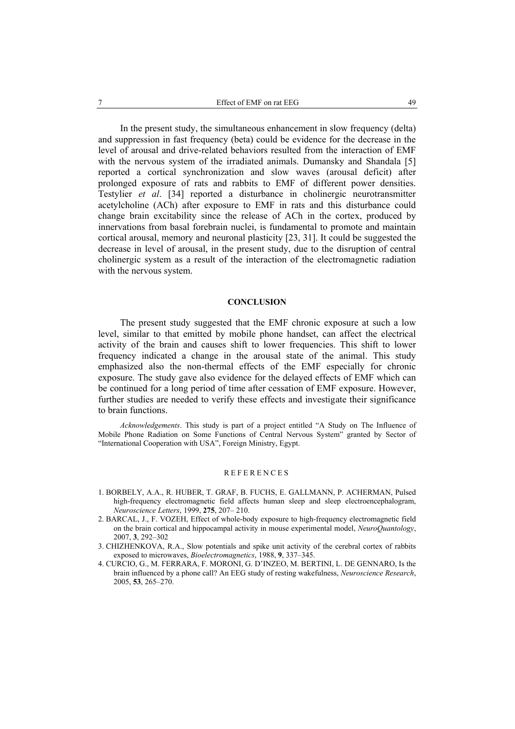In the present study, the simultaneous enhancement in slow frequency (delta) and suppression in fast frequency (beta) could be evidence for the decrease in the level of arousal and drive-related behaviors resulted from the interaction of EMF with the nervous system of the irradiated animals. Dumansky and Shandala [5] reported a cortical synchronization and slow waves (arousal deficit) after prolonged exposure of rats and rabbits to EMF of different power densities. Testylier *et al*. [34] reported a disturbance in cholinergic neurotransmitter acetylcholine (ACh) after exposure to EMF in rats and this disturbance could change brain excitability since the release of ACh in the cortex, produced by innervations from basal forebrain nuclei, is fundamental to promote and maintain cortical arousal, memory and neuronal plasticity [23, 31]. It could be suggested the decrease in level of arousal, in the present study, due to the disruption of central cholinergic system as a result of the interaction of the electromagnetic radiation with the nervous system.

#### **CONCLUSION**

The present study suggested that the EMF chronic exposure at such a low level, similar to that emitted by mobile phone handset, can affect the electrical activity of the brain and causes shift to lower frequencies. This shift to lower frequency indicated a change in the arousal state of the animal. This study emphasized also the non-thermal effects of the EMF especially for chronic exposure. The study gave also evidence for the delayed effects of EMF which can be continued for a long period of time after cessation of EMF exposure. However, further studies are needed to verify these effects and investigate their significance to brain functions.

*Acknowledgements*. This study is part of a project entitled "A Study on The Influence of Mobile Phone Radiation on Some Functions of Central Nervous System" granted by Sector of "International Cooperation with USA", Foreign Ministry, Egypt.

#### REFERENCES

- 1. BORBELY, A.A., R. HUBER, T. GRAF, B. FUCHS, E. GALLMANN, P. ACHERMAN, Pulsed high-frequency electromagnetic field affects human sleep and sleep electroencephalogram, *Neuroscience Letters*, 1999, **275**, 207– 210.
- 2. BARCAL, J., F. VOZEH, Effect of whole-body exposure to high-frequency electromagnetic field on the brain cortical and hippocampal activity in mouse experimental model, *NeuroQuantology*, 2007, **3**, 292–302
- 3. CHIZHENKOVA, R.A., Slow potentials and spike unit activity of the cerebral cortex of rabbits exposed to microwaves, *Bioelectromagnetics*, 1988, **9**, 337–345.
- 4. CURCIO, G., M. FERRARA, F. MORONI, G. D'INZEO, M. BERTINI, L. DE GENNARO, Is the brain influenced by a phone call? An EEG study of resting wakefulness, *Neuroscience Research*, 2005, **53**, 265–270.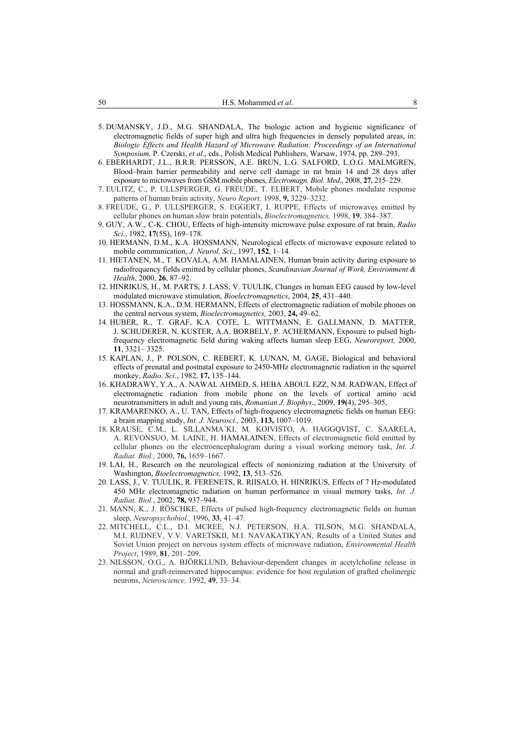- 5. DUMANSKY, J.D., M.G. SHANDALA, The biologic action and hygienic significance of electromagnetic fields of super high and ultra high frequencies in densely populated areas, in: *Biologic Effects and Health Hazard of Microwave Radiation: Proceedings of an International Symposium,* P. Czerski, *et al*., eds., Polish Medical Publishers, Warsaw, 1974, pp. 289–293.
- 6. EBERHARDT, J.L., B.R.R. PERSSON, A.E. BRUN, L.G. SALFORD, L.O.G. MALMGREN, Blood–brain barrier permeability and nerve cell damage in rat brain 14 and 28 days after exposure to microwaves from GSM mobile phones, *Electromagn. Biol. Med*., 2008, **27**, 215–229.
- 7. EULITZ, C., P. ULLSPERGER, G. FREUDE, T. ELBERT, Mobile phones modulate response patterns of human brain activity, *Neuro Report,* 1998, **9,** 3229–3232.
- 8. FREUDE, G., P. ULLSPERGER, S. EGGERT, I. RUPPE, Effects of microwaves emitted by cellular phones on human slow brain potentials, *Bioelectromagnetics,* 1998, **19**, 384–387.
- 9. GUY, A.W., C-K. CHOU, Effects of high-intensity microwave pulse exposure of rat brain, *Radio Sci*., 1982, **17**(5S), 169–178.
- 10. HERMANN, D.M., K.A. HOSSMANN, Neurological effects of microwave exposure related to mobile communication, *J. Neurol. Sci*., 1997, **152**, 1–14.
- 11. HIETANEN, M., T. KOVALA, A.M. HAMALAINEN, Human brain activity during exposure to radiofrequency fields emitted by cellular phones, *Scandinavian Journal of Work, Environment & Health*, 2000, **26**, 87–92.
- 12. HINRIKUS, H., M. PARTS, J. LASS, V. TUULIK, Changes in human EEG caused by low-level modulated microwave stimulation, *Bioelectromagnetics*, 2004, **25**, 431–440.
- 13. HOSSMANN, K.A., D.M. HERMANN, Effects of electromagnetic radiation of mobile phones on the central nervous system, *Bioelectromagnetics,* 2003, **24,** 49–62.
- 14. HUBER, R., T. GRAF, K.A. COTE, L. WITTMANN, E. GALLMANN, D. MATTER, J. SCHUDERER, N. KUSTER, A.A. BORBELY, P. ACHERMANN, Exposure to pulsed highfrequency electromagnetic field during waking affects human sleep EEG, *Neuroreport,* 2000, **11**, 3321– 3325.
- 15. KAPLAN, J., P. POLSON, C. REBERT, K. LUNAN, M. GAGE, Biological and behavioral effects of prenatal and postnatal exposure to 2450-MHz electromagnetic radiation in the squirrel monkey, *Radio. Sci*., 1982, **17,** 135–144.
- 16. KHADRAWY, Y.A., A. NAWAL AHMED, S. HEBA ABOUL EZZ, N.M. RADWAN, Effect of electromagnetic radiation from mobile phone on the levels of cortical amino acid neurotransmitters in adult and young rats, *Romanian J. Biophys*., 2009, **19(**4), 295–305,
- 17. KRAMARENKO, A., U. TAN, Effects of high-frequency electromagnetic fields on human EEG: a brain mapping study, *Int. J. Neurosci.,* 2003, **113,** 1007–1019.
- 18. KRAUSE, C.M., L. SILLANMA¨KI, M. KOIVISTO, A. HAGGQVIST, C. SAARELA, A. REVONSUO, M. LAINE, H. HAMALAINEN, Effects of electromagnetic field emitted by cellular phones on the electroencephalogram during a visual working memory task, *Int. J. Radiat. Biol.,* 2000, **76,** 1659–1667.
- 19. LAI, H., Research on the neurological effects of nonionizing radiation at the University of Washington, *Bioelectromagnetics,* 1992, **13**, 513–526.
- 20. LASS, J., V. TUULIK, R. FERENETS, R. RIISALO, H. HINRIKUS, Effects of 7 Hz-modulated 450 MHz electromagnetic radiation on human performance in visual memory tasks, *Int. J. Radiat. Biol.*, 2002, **78,** 937–944.
- 21. MANN, K., J. RÖSCHKE, Effects of pulsed high-frequency electromagnetic fields on human sleep, *Neuropsychobiol.,* 1996, **33**, 41–47.
- 22. MITCHELL, C.L., D.I. MCREE, N.J. PETERSON, H.A. TILSON, M.G. SHANDALA, M.I. RUDNEV, V.V. VARETSKII, M.I. NAVAKATIKYAN, Results of a United States and Soviet Union project on nervous system effects of microwave radiation, *Environmental Health Project*, 1989, **81**, 201–209.
- 23. NILSSON, O.G., A. BJÖRKLUND, Behaviour-dependent changes in acetylcholine release in normal and graft-reinnervated hippocampus: evidence for host regulation of grafted cholinergic neurons, *Neuroscience,* 1992, **49**, 33–34.